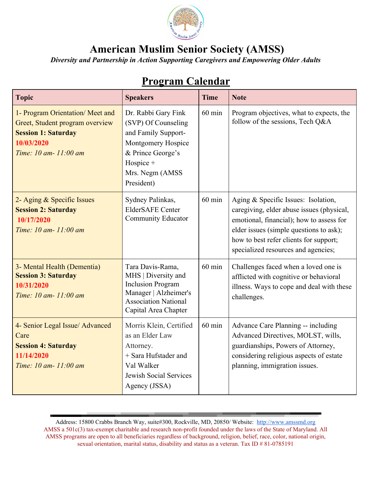

*Diversity and Partnership in Action Supporting Caregivers and Empowering Older Adults*

| <b>Topic</b>                                                                                                                            | <b>Speakers</b>                                                                                                                                            | <b>Time</b> | <b>Note</b>                                                                                                                                                                                                                                              |
|-----------------------------------------------------------------------------------------------------------------------------------------|------------------------------------------------------------------------------------------------------------------------------------------------------------|-------------|----------------------------------------------------------------------------------------------------------------------------------------------------------------------------------------------------------------------------------------------------------|
| 1- Program Orientation/Meet and<br>Greet, Student program overview<br><b>Session 1: Saturday</b><br>10/03/2020<br>Time: 10 am- 11:00 am | Dr. Rabbi Gary Fink<br>(SVP) Of Counseling<br>and Family Support-<br>Montgomery Hospice<br>& Prince George's<br>Hospice +<br>Mrs. Negm (AMSS<br>President) | $60$ min    | Program objectives, what to expects, the<br>follow of the sessions, Tech Q&A                                                                                                                                                                             |
| 2- Aging & Specific Issues<br><b>Session 2: Saturday</b><br>10/17/2020<br>Time: 10 am- 11:00 am                                         | Sydney Palinkas,<br><b>ElderSAFE Center</b><br><b>Community Educator</b>                                                                                   | $60$ min    | Aging & Specific Issues: Isolation,<br>caregiving, elder abuse issues (physical,<br>emotional, financial); how to assess for<br>elder issues (simple questions to ask);<br>how to best refer clients for support;<br>specialized resources and agencies; |
| 3- Mental Health (Dementia)<br><b>Session 3: Saturday</b><br>10/31/2020<br>Time: 10 am- 11:00 am                                        | Tara Davis-Rama,<br>MHS   Diversity and<br><b>Inclusion Program</b><br>Manager   Alzheimer's<br><b>Association National</b><br>Capital Area Chapter        | $60$ min    | Challenges faced when a loved one is<br>afflicted with cognitive or behavioral<br>illness. Ways to cope and deal with these<br>challenges.                                                                                                               |
| 4- Senior Legal Issue/ Advanced<br>Care<br><b>Session 4: Saturday</b><br>11/14/2020<br>Time: 10 am- 11:00 am                            | Morris Klein, Certified<br>as an Elder Law<br>Attorney.<br>+ Sara Hufstader and<br>Val Walker<br>Jewish Social Services<br>Agency (JSSA)                   | $60$ min    | Advance Care Planning -- including<br>Advanced Directives, MOLST, wills,<br>guardianships, Powers of Attorney,<br>considering religious aspects of estate<br>planning, immigration issues.                                                               |

## **Program Calendar**

Address: 15800 Crabbs Branch Way, suite#300, Rockville, MD, 20850/ Website: [http://www.amssmd.org](http://www.amssmd.org/) AMSS a 501c(3) tax-exempt charitable and research non-profit founded under the laws of the State of Maryland. All AMSS programs are open to all beneficiaries regardless of background, religion, belief, race, color, national origin, sexual orientation, marital status, disability and status as a veteran. Tax ID # 81-0785191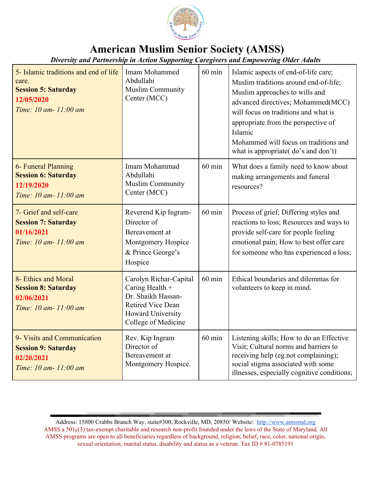

*Diversity and Partnership in Action Supporting Caregivers and Empowering Older Adults*

| 5- Islamic traditions and end of life<br>care.<br><b>Session 5: Saturday</b><br>12/05/2020<br>Time: 10 am- 11:00 am | Imam Mohammed<br>Abdullahi<br><b>Muslim Community</b><br>Center (MCC)                                                                   | $60$ min | Islamic aspects of end-of-life care;<br>Muslim traditions around end-of-life;<br>Muslim approaches to wills and<br>advanced directives; Mohammed(MCC)<br>will focus on traditions and what is<br>appropriate from the perspective of<br>Islamic<br>Mohammed will focus on traditions and<br>what is appropriate( do's and don't) |
|---------------------------------------------------------------------------------------------------------------------|-----------------------------------------------------------------------------------------------------------------------------------------|----------|----------------------------------------------------------------------------------------------------------------------------------------------------------------------------------------------------------------------------------------------------------------------------------------------------------------------------------|
| 6- Funeral Planning<br><b>Session 6: Saturday</b><br>12/19/2020<br>Time: 10 am- 11:00 am                            | Imam Mohammad<br>Abdullahi<br><b>Muslim Community</b><br>Center (MCC)                                                                   | $60$ min | What does a family need to know about<br>making arrangements and funeral<br>resources?                                                                                                                                                                                                                                           |
| 7- Grief and self-care<br><b>Session 7: Saturday</b><br>01/16/2021<br>Time: 10 am- 11:00 am                         | Reverend Kip Ingram-<br>Director of<br>Bereavement at<br>Montgomery Hospice<br>& Prince George's<br>Hospice                             | $60$ min | Process of grief; Differing styles and<br>reactions to loss; Resources and ways to<br>provide self-care for people feeling<br>emotional pain; How to best offer care<br>for someone who has experienced a loss;                                                                                                                  |
| 8- Ethics and Moral<br><b>Session 8: Saturday</b><br>02/06/2021<br>Time: 10 am- 11:00 am                            | Carolyn Richar-Capital<br>Caring Health +<br>Dr. Shaikh Hassan-<br><b>Retired Vice Dean</b><br>Howard University<br>College of Medicine | $60$ min | Ethical boundaries and dilemmas for<br>volunteers to keep in mind.                                                                                                                                                                                                                                                               |
| 9- Visits and Communication<br><b>Session 9: Saturday</b><br>02/20/2021<br>Time: 10 am- 11:00 am                    | Rev. Kip Ingram<br>Director of<br>Bereavement at<br>Montgomery Hospice.                                                                 | $60$ min | Listening skills; How to do an Effective<br>Visit; Cultural norms and barriers to<br>receiving help (eg.not complaining);<br>social stigma associated with some<br>illnesses, especially cognitive conditions;                                                                                                                   |

Address: 15800 Crabbs Branch Way, suite#300, Rockville, MD, 20850/ Website: [http://www.amssmd.org](http://www.amssmd.org/) AMSS a 501c(3) tax-exempt charitable and research non-profit founded under the laws of the State of Maryland. All AMSS programs are open to all beneficiaries regardless of background, religion, belief, race, color, national origin, sexual orientation, marital status, disability and status as a veteran. Tax ID # 81-0785191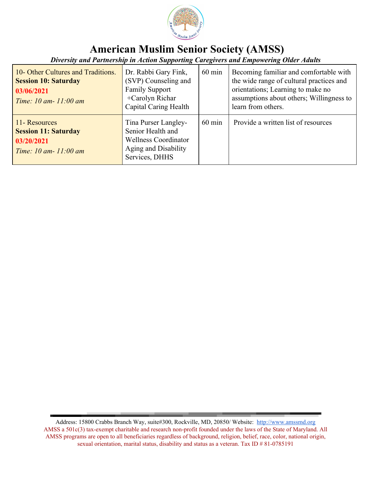

*Diversity and Partnership in Action Supporting Caregivers and Empowering Older Adults*

| 10- Other Cultures and Traditions.<br><b>Session 10: Saturday</b><br>03/06/2021<br>Time: $10 \text{ am} - 11:00 \text{ am}$ | Dr. Rabbi Gary Fink,<br>(SVP) Counseling and<br><b>Family Support</b><br>+Carolyn Richar<br>Capital Caring Health  | $60 \text{ min}$ | Becoming familiar and comfortable with<br>the wide range of cultural practices and<br>orientations; Learning to make no<br>assumptions about others; Willingness to<br>learn from others. |
|-----------------------------------------------------------------------------------------------------------------------------|--------------------------------------------------------------------------------------------------------------------|------------------|-------------------------------------------------------------------------------------------------------------------------------------------------------------------------------------------|
| 11- Resources<br><b>Session 11: Saturday</b><br>03/20/2021<br>Time: $10 \text{ am} - 11:00 \text{ am}$                      | Tina Purser Langley-<br>Senior Health and<br><b>Wellness Coordinator</b><br>Aging and Disability<br>Services, DHHS | $60 \text{ min}$ | Provide a written list of resources                                                                                                                                                       |

Address: 15800 Crabbs Branch Way, suite#300, Rockville, MD, 20850/ Website: [http://www.amssmd.org](http://www.amssmd.org/) AMSS a 501c(3) tax-exempt charitable and research non-profit founded under the laws of the State of Maryland. All AMSS programs are open to all beneficiaries regardless of background, religion, belief, race, color, national origin, sexual orientation, marital status, disability and status as a veteran. Tax ID # 81-0785191